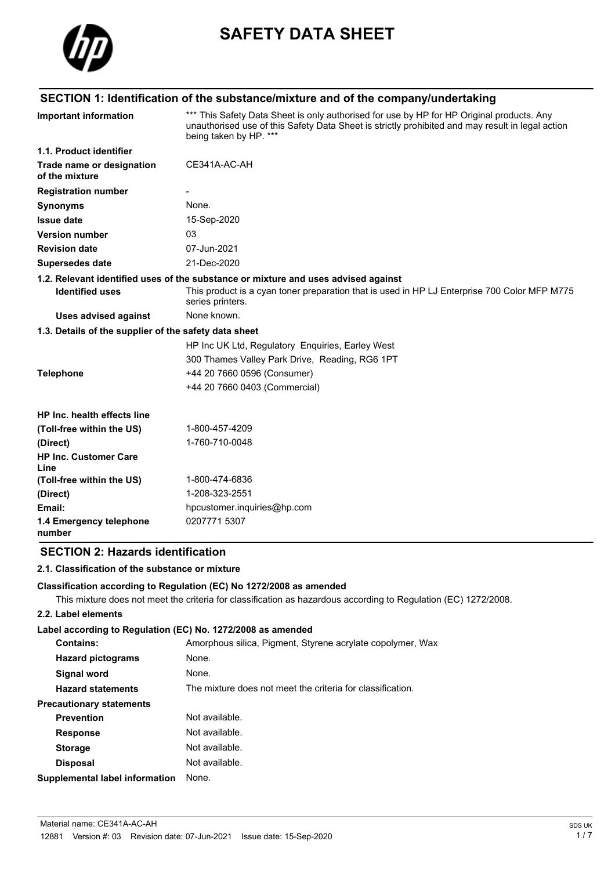

# **SAFETY DATA SHEET**

# **SECTION 1: Identification of the substance/mixture and of the company/undertaking**

| <b>Important information</b>                          | *** This Safety Data Sheet is only authorised for use by HP for HP Original products. Any<br>unauthorised use of this Safety Data Sheet is strictly prohibited and may result in legal action<br>being taken by HP. *** |
|-------------------------------------------------------|-------------------------------------------------------------------------------------------------------------------------------------------------------------------------------------------------------------------------|
| 1.1. Product identifier                               |                                                                                                                                                                                                                         |
| Trade name or designation<br>of the mixture           | CE341A-AC-AH                                                                                                                                                                                                            |
| <b>Registration number</b>                            |                                                                                                                                                                                                                         |
| <b>Synonyms</b>                                       | None.                                                                                                                                                                                                                   |
| <b>Issue date</b>                                     | 15-Sep-2020                                                                                                                                                                                                             |
| <b>Version number</b>                                 | 03                                                                                                                                                                                                                      |
| <b>Revision date</b>                                  | 07-Jun-2021                                                                                                                                                                                                             |
| <b>Supersedes date</b>                                | 21-Dec-2020                                                                                                                                                                                                             |
|                                                       | 1.2. Relevant identified uses of the substance or mixture and uses advised against                                                                                                                                      |
| <b>Identified uses</b>                                | This product is a cyan toner preparation that is used in HP LJ Enterprise 700 Color MFP M775<br>series printers.                                                                                                        |
| <b>Uses advised against</b>                           | None known.                                                                                                                                                                                                             |
| 1.3. Details of the supplier of the safety data sheet |                                                                                                                                                                                                                         |
|                                                       | HP Inc UK Ltd, Regulatory Enquiries, Earley West                                                                                                                                                                        |
|                                                       | 300 Thames Valley Park Drive, Reading, RG6 1PT                                                                                                                                                                          |
| <b>Telephone</b>                                      | +44 20 7660 0596 (Consumer)                                                                                                                                                                                             |
|                                                       | +44 20 7660 0403 (Commercial)                                                                                                                                                                                           |
| HP Inc. health effects line                           |                                                                                                                                                                                                                         |
| (Toll-free within the US)                             | 1-800-457-4209                                                                                                                                                                                                          |
| (Direct)                                              | 1-760-710-0048                                                                                                                                                                                                          |
| <b>HP Inc. Customer Care</b><br>Line                  |                                                                                                                                                                                                                         |
| (Toll-free within the US)                             | 1-800-474-6836                                                                                                                                                                                                          |
| (Direct)                                              | 1-208-323-2551                                                                                                                                                                                                          |
| Email:                                                | hpcustomer.inquiries@hp.com                                                                                                                                                                                             |
| 1.4 Emergency telephone<br>number                     | 02077715307                                                                                                                                                                                                             |

## **SECTION 2: Hazards identification**

#### **2.1. Classification of the substance or mixture**

#### **Classification according to Regulation (EC) No 1272/2008 as amended**

This mixture does not meet the criteria for classification as hazardous according to Regulation (EC) 1272/2008.

### **2.2. Label elements**

#### **Label according to Regulation (EC) No. 1272/2008 as amended**

| <b>Contains:</b>                | Amorphous silica, Pigment, Styrene acrylate copolymer, Wax |
|---------------------------------|------------------------------------------------------------|
| <b>Hazard pictograms</b>        | None.                                                      |
| Signal word                     | None.                                                      |
| <b>Hazard statements</b>        | The mixture does not meet the criteria for classification. |
| <b>Precautionary statements</b> |                                                            |
| <b>Prevention</b>               | Not available.                                             |
| <b>Response</b>                 | Not available.                                             |
| <b>Storage</b>                  | Not available.                                             |
| <b>Disposal</b>                 | Not available.                                             |
| Supplemental label information  | None.                                                      |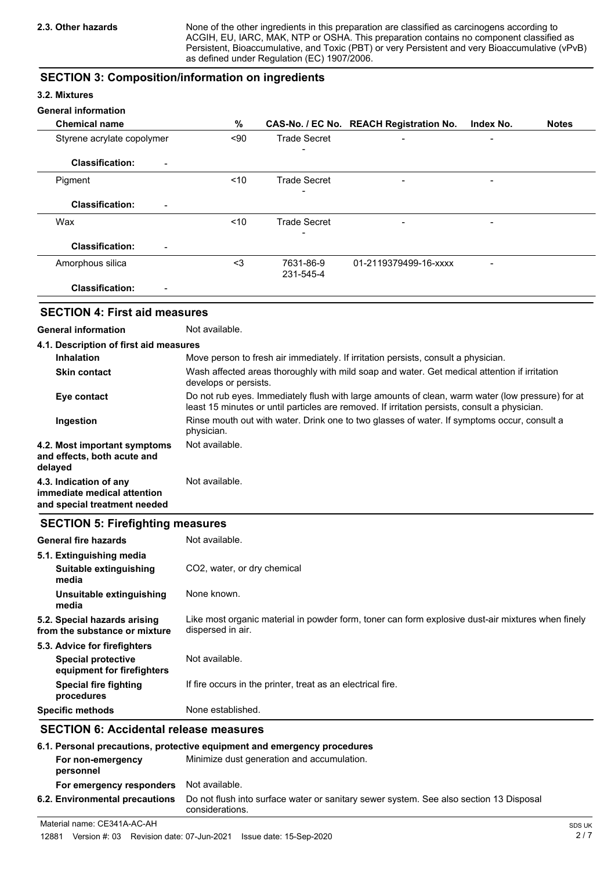None of the other ingredients in this preparation are classified as carcinogens according to ACGIH, EU, IARC, MAK, NTP or OSHA. This preparation contains no component classified as Persistent, Bioaccumulative, and Toxic (PBT) or very Persistent and very Bioaccumulative (vPvB) as defined under Regulation (EC) 1907/2006.

### **SECTION 3: Composition/information on ingredients**

### **3.2. Mixtures**

#### **General information**

| <b>Chemical name</b>                                   | ℅    |                          | CAS-No. / EC No. REACH Registration No. | Index No.                | <b>Notes</b> |
|--------------------------------------------------------|------|--------------------------|-----------------------------------------|--------------------------|--------------|
| Styrene acrylate copolymer                             | $90$ | <b>Trade Secret</b>      | $\blacksquare$                          | $\qquad \qquad$          |              |
| <b>Classification:</b><br>$\overline{\phantom{a}}$     |      | -                        |                                         |                          |              |
| Pigment                                                | ~10  | <b>Trade Secret</b><br>- | $\overline{\phantom{0}}$                | $\overline{\phantom{0}}$ |              |
| <b>Classification:</b><br>$\qquad \qquad \blacksquare$ |      |                          |                                         |                          |              |
| Wax                                                    | < 10 | <b>Trade Secret</b>      | $\overline{\phantom{0}}$                | $\blacksquare$           |              |
| <b>Classification:</b><br>-                            |      |                          |                                         |                          |              |
| Amorphous silica                                       | $3$  | 7631-86-9<br>231-545-4   | 01-2119379499-16-xxxx                   |                          |              |
| <b>Classification:</b><br>$\overline{\phantom{0}}$     |      |                          |                                         |                          |              |

### **SECTION 4: First aid measures**

### General information **Not available.**

| 4.1. Description of first aid measures                                                |                                                                                                                                                                                                   |
|---------------------------------------------------------------------------------------|---------------------------------------------------------------------------------------------------------------------------------------------------------------------------------------------------|
| <b>Inhalation</b>                                                                     | Move person to fresh air immediately. If irritation persists, consult a physician.                                                                                                                |
| <b>Skin contact</b>                                                                   | Wash affected areas thoroughly with mild soap and water. Get medical attention if irritation<br>develops or persists.                                                                             |
| Eye contact                                                                           | Do not rub eyes. Immediately flush with large amounts of clean, warm water (low pressure) for at<br>least 15 minutes or until particles are removed. If irritation persists, consult a physician. |
| Ingestion                                                                             | Rinse mouth out with water. Drink one to two glasses of water. If symptoms occur, consult a<br>physician.                                                                                         |
| 4.2. Most important symptoms<br>and effects, both acute and<br>delayed                | Not available.                                                                                                                                                                                    |
| 4.3. Indication of any<br>immediate medical attention<br>and special treatment needed | Not available.                                                                                                                                                                                    |

### **SECTION 5: Firefighting measures**

| <b>General fire hazards</b>                                                             | Not available.                                                                                                         |
|-----------------------------------------------------------------------------------------|------------------------------------------------------------------------------------------------------------------------|
| 5.1. Extinguishing media<br>Suitable extinguishing<br>media                             | CO <sub>2</sub> , water, or dry chemical                                                                               |
| Unsuitable extinguishing<br>media                                                       | None known.                                                                                                            |
| 5.2. Special hazards arising<br>from the substance or mixture                           | Like most organic material in powder form, toner can form explosive dust-air mixtures when finely<br>dispersed in air. |
| 5.3. Advice for firefighters<br><b>Special protective</b><br>equipment for firefighters | Not available.                                                                                                         |
| Special fire fighting<br>procedures                                                     | If fire occurs in the printer, treat as an electrical fire.                                                            |
| <b>Specific methods</b>                                                                 | None established.                                                                                                      |

# **SECTION 6: Accidental release measures**

| 6.1. Personal precautions, protective equipment and emergency procedures |                                                                                                           |  |  |
|--------------------------------------------------------------------------|-----------------------------------------------------------------------------------------------------------|--|--|
| For non-emergency<br>personnel                                           | Minimize dust generation and accumulation.                                                                |  |  |
| For emergency responders                                                 | Not available.                                                                                            |  |  |
| 6.2. Environmental precautions                                           | Do not flush into surface water or sanitary sewer system. See also section 13 Disposal<br>considerations. |  |  |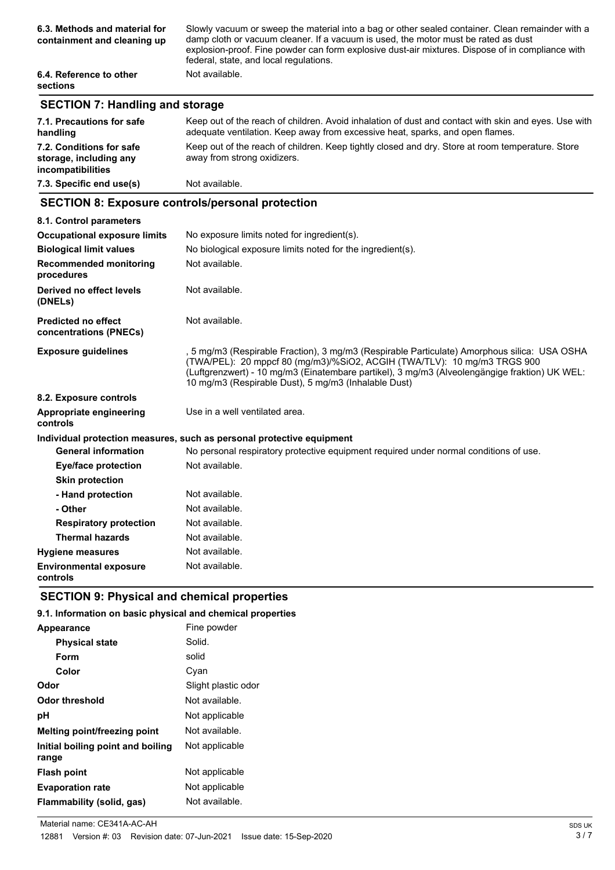| 6.3. Methods and material for<br>containment and cleaning up | Slowly vacuum or sweep the material into a bag or other sealed container. Clean remainder with a<br>damp cloth or vacuum cleaner. If a vacuum is used, the motor must be rated as dust<br>explosion-proof. Fine powder can form explosive dust-air mixtures. Dispose of in compliance with<br>federal, state, and local regulations. |  |
|--------------------------------------------------------------|--------------------------------------------------------------------------------------------------------------------------------------------------------------------------------------------------------------------------------------------------------------------------------------------------------------------------------------|--|
| 6.4. Reference to other<br>sections                          | Not available.                                                                                                                                                                                                                                                                                                                       |  |

# **SECTION 7: Handling and storage**

| 7.1. Precautions for safe<br>handling                                   | Keep out of the reach of children. Avoid inhalation of dust and contact with skin and eyes. Use with<br>adequate ventilation. Keep away from excessive heat, sparks, and open flames. |
|-------------------------------------------------------------------------|---------------------------------------------------------------------------------------------------------------------------------------------------------------------------------------|
| 7.2. Conditions for safe<br>storage, including any<br>incompatibilities | Keep out of the reach of children. Keep tightly closed and dry. Store at room temperature. Store<br>away from strong oxidizers.                                                       |
| 7.3. Specific end use(s)                                                | Not available.                                                                                                                                                                        |

# **SECTION 8: Exposure controls/personal protection**

| 8.1. Control parameters                              |                                                                                                                                                                                                                                                                                                                                   |
|------------------------------------------------------|-----------------------------------------------------------------------------------------------------------------------------------------------------------------------------------------------------------------------------------------------------------------------------------------------------------------------------------|
| <b>Occupational exposure limits</b>                  | No exposure limits noted for ingredient(s).                                                                                                                                                                                                                                                                                       |
| <b>Biological limit values</b>                       | No biological exposure limits noted for the ingredient(s).                                                                                                                                                                                                                                                                        |
| <b>Recommended monitoring</b><br>procedures          | Not available.                                                                                                                                                                                                                                                                                                                    |
| Derived no effect levels<br>(DNELs)                  | Not available.                                                                                                                                                                                                                                                                                                                    |
| <b>Predicted no effect</b><br>concentrations (PNECs) | Not available.                                                                                                                                                                                                                                                                                                                    |
| <b>Exposure guidelines</b>                           | , 5 mg/m3 (Respirable Fraction), 3 mg/m3 (Respirable Particulate) Amorphous silica: USA OSHA<br>(TWA/PEL): 20 mppcf 80 (mg/m3)/%SiO2, ACGIH (TWA/TLV): 10 mg/m3 TRGS 900<br>(Luftgrenzwert) - 10 mg/m3 (Einatembare partikel), 3 mg/m3 (Alveolengängige fraktion) UK WEL:<br>10 mg/m3 (Respirable Dust), 5 mg/m3 (Inhalable Dust) |
| 8.2. Exposure controls                               |                                                                                                                                                                                                                                                                                                                                   |
| Appropriate engineering<br>controls                  | Use in a well ventilated area.                                                                                                                                                                                                                                                                                                    |
|                                                      | Individual protection measures, such as personal protective equipment                                                                                                                                                                                                                                                             |
| <b>General information</b>                           | No personal respiratory protective equipment required under normal conditions of use.                                                                                                                                                                                                                                             |
| <b>Eye/face protection</b>                           | Not available.                                                                                                                                                                                                                                                                                                                    |
| <b>Skin protection</b>                               |                                                                                                                                                                                                                                                                                                                                   |
| - Hand protection                                    | Not available.                                                                                                                                                                                                                                                                                                                    |
| - Other                                              | Not available.                                                                                                                                                                                                                                                                                                                    |
| <b>Respiratory protection</b>                        | Not available.                                                                                                                                                                                                                                                                                                                    |
| <b>Thermal hazards</b>                               | Not available.                                                                                                                                                                                                                                                                                                                    |
| <b>Hygiene measures</b>                              | Not available.                                                                                                                                                                                                                                                                                                                    |
| <b>Environmental exposure</b><br>controls            | Not available.                                                                                                                                                                                                                                                                                                                    |

# **SECTION 9: Physical and chemical properties**

### **9.1. Information on basic physical and chemical properties**

| Fine powder         |
|---------------------|
| Solid.              |
| solid               |
| Cyan                |
| Slight plastic odor |
| Not available.      |
| Not applicable      |
| Not available.      |
| Not applicable      |
| Not applicable      |
| Not applicable      |
| Not available.      |
|                     |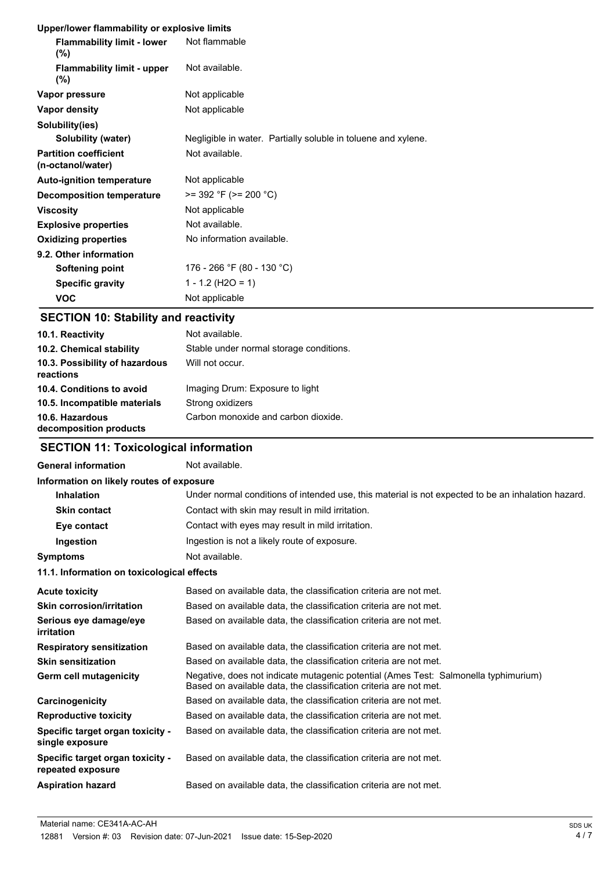### **Upper/lower flammability or explosive limits**

| <b>Flammability limit - lower</b><br>(%)          | Not flammable                                                 |
|---------------------------------------------------|---------------------------------------------------------------|
| <b>Flammability limit - upper</b><br>$(\% )$      | Not available.                                                |
| Vapor pressure                                    | Not applicable                                                |
| Vapor density                                     | Not applicable                                                |
| Solubility(ies)                                   |                                                               |
| Solubility (water)                                | Negligible in water. Partially soluble in toluene and xylene. |
| <b>Partition coefficient</b><br>(n-octanol/water) | Not available.                                                |
| <b>Auto-ignition temperature</b>                  | Not applicable                                                |
| Decomposition temperature                         | $>=$ 392 °F ( $>=$ 200 °C)                                    |
| <b>Viscosity</b>                                  | Not applicable                                                |
| <b>Explosive properties</b>                       | Not available.                                                |
| <b>Oxidizing properties</b>                       | No information available.                                     |
| 9.2. Other information                            |                                                               |
| Softening point                                   | 176 - 266 °F (80 - 130 °C)                                    |
| <b>Specific gravity</b>                           | $1 - 1.2$ (H2O = 1)                                           |
| <b>VOC</b>                                        | Not applicable                                                |

# **SECTION 10: Stability and reactivity**

| 10.1. Reactivity                            | Not available.                          |
|---------------------------------------------|-----------------------------------------|
| 10.2. Chemical stability                    | Stable under normal storage conditions. |
| 10.3. Possibility of hazardous<br>reactions | Will not occur.                         |
| 10.4. Conditions to avoid                   | Imaging Drum: Exposure to light         |
| 10.5. Incompatible materials                | Strong oxidizers                        |
| 10.6. Hazardous<br>decomposition products   | Carbon monoxide and carbon dioxide.     |

# **SECTION 11: Toxicological information**

| <b>General information</b>                            | Not available.                                                                                                                                           |
|-------------------------------------------------------|----------------------------------------------------------------------------------------------------------------------------------------------------------|
| Information on likely routes of exposure              |                                                                                                                                                          |
| <b>Inhalation</b>                                     | Under normal conditions of intended use, this material is not expected to be an inhalation hazard.                                                       |
| <b>Skin contact</b>                                   | Contact with skin may result in mild irritation.                                                                                                         |
| Eye contact                                           | Contact with eyes may result in mild irritation.                                                                                                         |
| Ingestion                                             | Ingestion is not a likely route of exposure.                                                                                                             |
| <b>Symptoms</b>                                       | Not available.                                                                                                                                           |
| 11.1. Information on toxicological effects            |                                                                                                                                                          |
| <b>Acute toxicity</b>                                 | Based on available data, the classification criteria are not met.                                                                                        |
| <b>Skin corrosion/irritation</b>                      | Based on available data, the classification criteria are not met.                                                                                        |
| Serious eye damage/eye<br>irritation                  | Based on available data, the classification criteria are not met.                                                                                        |
| <b>Respiratory sensitization</b>                      | Based on available data, the classification criteria are not met.                                                                                        |
| <b>Skin sensitization</b>                             | Based on available data, the classification criteria are not met.                                                                                        |
| Germ cell mutagenicity                                | Negative, does not indicate mutagenic potential (Ames Test: Salmonella typhimurium)<br>Based on available data, the classification criteria are not met. |
| Carcinogenicity                                       | Based on available data, the classification criteria are not met.                                                                                        |
| <b>Reproductive toxicity</b>                          | Based on available data, the classification criteria are not met.                                                                                        |
| Specific target organ toxicity -<br>single exposure   | Based on available data, the classification criteria are not met.                                                                                        |
| Specific target organ toxicity -<br>repeated exposure | Based on available data, the classification criteria are not met.                                                                                        |
| <b>Aspiration hazard</b>                              | Based on available data, the classification criteria are not met.                                                                                        |
|                                                       |                                                                                                                                                          |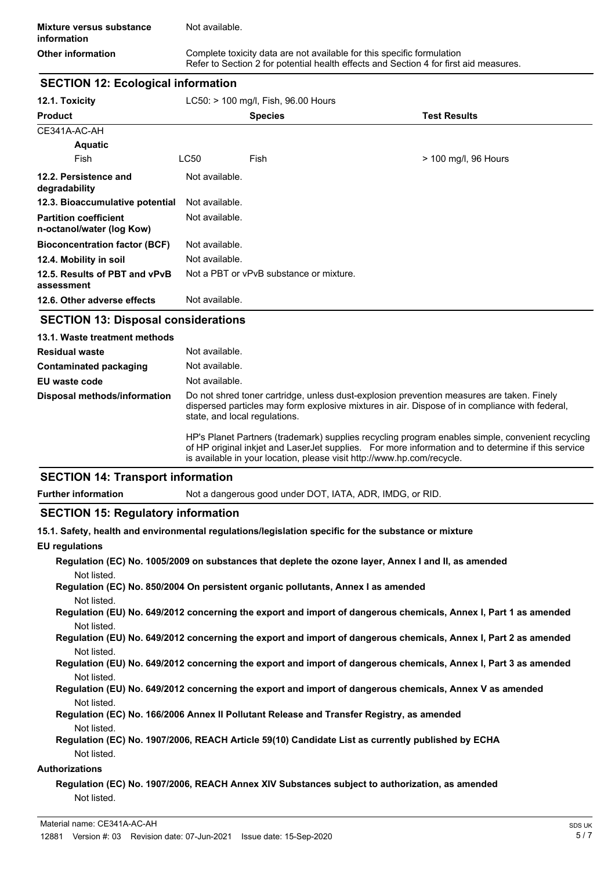**Other information Complete toxicity data are not available for this specific formulation** Refer to Section 2 for potential health effects and Section 4 for first aid measures.

## **SECTION 12: Ecological information**

| 12.1. Toxicity                                            | LC50: > 100 mg/l, Fish, 96.00 Hours |                                         |                      |  |
|-----------------------------------------------------------|-------------------------------------|-----------------------------------------|----------------------|--|
| <b>Product</b>                                            |                                     | <b>Species</b>                          | <b>Test Results</b>  |  |
| CE341A-AC-AH                                              |                                     |                                         |                      |  |
| <b>Aquatic</b>                                            |                                     |                                         |                      |  |
| Fish                                                      | LC50                                | Fish                                    | > 100 mg/l, 96 Hours |  |
| 12.2. Persistence and<br>degradability                    | Not available.                      |                                         |                      |  |
| 12.3. Bioaccumulative potential                           | Not available.                      |                                         |                      |  |
| <b>Partition coefficient</b><br>n-octanol/water (log Kow) | Not available.                      |                                         |                      |  |
| <b>Bioconcentration factor (BCF)</b>                      | Not available.                      |                                         |                      |  |
| 12.4. Mobility in soil                                    | Not available.                      |                                         |                      |  |
| 12.5. Results of PBT and vPvB<br>assessment               |                                     | Not a PBT or vPvB substance or mixture. |                      |  |
| 12.6. Other adverse effects                               | Not available.                      |                                         |                      |  |
| <b>SECTION 13: Disposal considerations</b>                |                                     |                                         |                      |  |

| 13.1. Waste treatment methods |                                                                                                                                                                                                                                                                                   |
|-------------------------------|-----------------------------------------------------------------------------------------------------------------------------------------------------------------------------------------------------------------------------------------------------------------------------------|
| <b>Residual waste</b>         | Not available.                                                                                                                                                                                                                                                                    |
| <b>Contaminated packaging</b> | Not available.                                                                                                                                                                                                                                                                    |
| EU waste code                 | Not available.                                                                                                                                                                                                                                                                    |
| Disposal methods/information  | Do not shred toner cartridge, unless dust-explosion prevention measures are taken. Finely<br>dispersed particles may form explosive mixtures in air. Dispose of in compliance with federal,<br>state, and local regulations.                                                      |
|                               | HP's Planet Partners (trademark) supplies recycling program enables simple, convenient recycling<br>of HP original inkiet and Laser Jet supplies. For more information and to determine if this service<br>is available in your location, please visit http://www.hp.com/recycle. |
|                               |                                                                                                                                                                                                                                                                                   |

## **SECTION 14: Transport information**

**Further information** Not a dangerous good under DOT, IATA, ADR, IMDG, or RID.

## **SECTION 15: Regulatory information**

**15.1. Safety, health and environmental regulations/legislation specific for the substance or mixture**

### **EU regulations**

- **Regulation (EC) No. 1005/2009 on substances that deplete the ozone layer, Annex I and II, as amended** Not listed.
- **Regulation (EC) No. 850/2004 On persistent organic pollutants, Annex I as amended** Not listed.
- **Regulation (EU) No. 649/2012 concerning the export and import of dangerous chemicals, Annex I, Part 1 as amended** Not listed.
- **Regulation (EU) No. 649/2012 concerning the export and import of dangerous chemicals, Annex I, Part 2 as amended** Not listed.
- **Regulation (EU) No. 649/2012 concerning the export and import of dangerous chemicals, Annex I, Part 3 as amended** Not listed.
- **Regulation (EU) No. 649/2012 concerning the export and import of dangerous chemicals, Annex V as amended** Not listed.
- **Regulation (EC) No. 166/2006 Annex II Pollutant Release and Transfer Registry, as amended** Not listed.
- **Regulation (EC) No. 1907/2006, REACH Article 59(10) Candidate List as currently published by ECHA** Not listed.

### **Authorizations**

**Regulation (EC) No. 1907/2006, REACH Annex XIV Substances subject to authorization, as amended** Not listed.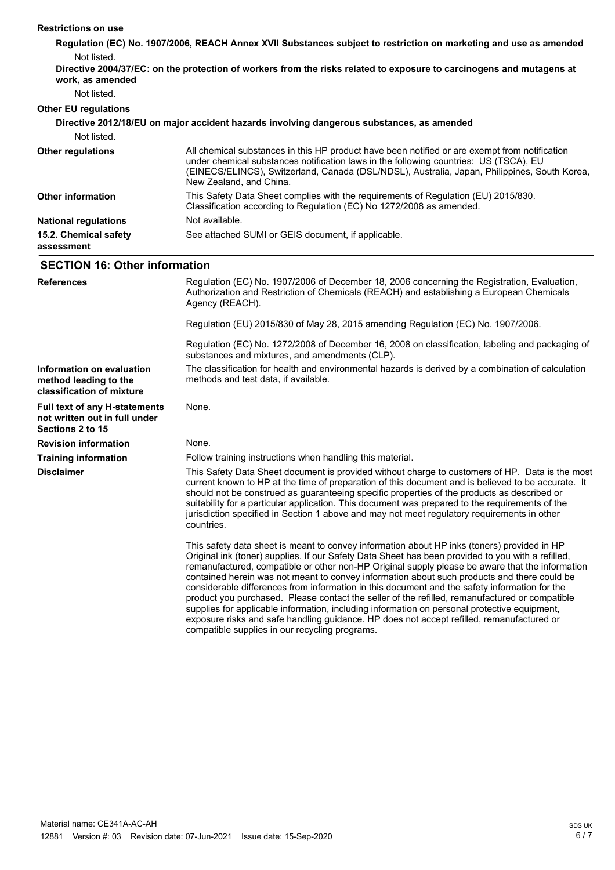#### **Restrictions on use**

| Not listed.<br>work, as amended<br>Not listed.<br><b>Other EU regulations</b> | Regulation (EC) No. 1907/2006, REACH Annex XVII Substances subject to restriction on marketing and use as amended<br>Directive 2004/37/EC: on the protection of workers from the risks related to exposure to carcinogens and mutagens at<br>Directive 2012/18/EU on major accident hazards involving dangerous substances, as amended |
|-------------------------------------------------------------------------------|----------------------------------------------------------------------------------------------------------------------------------------------------------------------------------------------------------------------------------------------------------------------------------------------------------------------------------------|
| Not listed.                                                                   |                                                                                                                                                                                                                                                                                                                                        |
| <b>Other regulations</b>                                                      | All chemical substances in this HP product have been notified or are exempt from notification<br>under chemical substances notification laws in the following countries: US (TSCA), EU<br>(EINECS/ELINCS), Switzerland, Canada (DSL/NDSL), Australia, Japan, Philippines, South Korea,<br>New Zealand, and China.                      |
| <b>Other information</b>                                                      | This Safety Data Sheet complies with the requirements of Regulation (EU) 2015/830.<br>Classification according to Regulation (EC) No 1272/2008 as amended.                                                                                                                                                                             |
| <b>National regulations</b>                                                   | Not available.                                                                                                                                                                                                                                                                                                                         |
| 15.2. Chemical safety<br>assessment                                           | See attached SUMI or GEIS document, if applicable.                                                                                                                                                                                                                                                                                     |
| <b>SECTION 16: Other information</b>                                          |                                                                                                                                                                                                                                                                                                                                        |
| <b>References</b>                                                             | Regulation (EC) No. 1907/2006 of December 18, 2006 concerning the Registration, Evaluation,                                                                                                                                                                                                                                            |

| <b>SECTION 16: Other information</b>                                                      |                                                                                                                                                                                                                                                                                                                                                                                                                                                                                                                                                                                                       |
|-------------------------------------------------------------------------------------------|-------------------------------------------------------------------------------------------------------------------------------------------------------------------------------------------------------------------------------------------------------------------------------------------------------------------------------------------------------------------------------------------------------------------------------------------------------------------------------------------------------------------------------------------------------------------------------------------------------|
| <b>References</b>                                                                         | Regulation (EC) No. 1907/2006 of December 18, 2006 concerning the Registration, Evaluation,<br>Authorization and Restriction of Chemicals (REACH) and establishing a European Chemicals<br>Agency (REACH).                                                                                                                                                                                                                                                                                                                                                                                            |
|                                                                                           | Regulation (EU) 2015/830 of May 28, 2015 amending Regulation (EC) No. 1907/2006.                                                                                                                                                                                                                                                                                                                                                                                                                                                                                                                      |
|                                                                                           | Regulation (EC) No. 1272/2008 of December 16, 2008 on classification, labeling and packaging of<br>substances and mixtures, and amendments (CLP).                                                                                                                                                                                                                                                                                                                                                                                                                                                     |
| Information on evaluation<br>method leading to the<br>classification of mixture           | The classification for health and environmental hazards is derived by a combination of calculation<br>methods and test data, if available.                                                                                                                                                                                                                                                                                                                                                                                                                                                            |
| <b>Full text of any H-statements</b><br>not written out in full under<br>Sections 2 to 15 | None.                                                                                                                                                                                                                                                                                                                                                                                                                                                                                                                                                                                                 |
| <b>Revision information</b>                                                               | None.                                                                                                                                                                                                                                                                                                                                                                                                                                                                                                                                                                                                 |
| <b>Training information</b>                                                               | Follow training instructions when handling this material.                                                                                                                                                                                                                                                                                                                                                                                                                                                                                                                                             |
| <b>Disclaimer</b>                                                                         | This Safety Data Sheet document is provided without charge to customers of HP. Data is the most<br>current known to HP at the time of preparation of this document and is believed to be accurate. It<br>should not be construed as guaranteeing specific properties of the products as described or<br>suitability for a particular application. This document was prepared to the requirements of the<br>jurisdiction specified in Section 1 above and may not meet regulatory requirements in other<br>countries.                                                                                  |
|                                                                                           | This safety data sheet is meant to convey information about HP inks (toners) provided in HP<br>Original ink (toner) supplies. If our Safety Data Sheet has been provided to you with a refilled,<br>remanufactured, compatible or other non-HP Original supply please be aware that the information<br>contained herein was not meant to convey information about such products and there could be<br>considerable differences from information in this document and the safety information for the<br>product you purchased. Please contact the seller of the refilled, remanufactured or compatible |

compatible supplies in our recycling programs.

supplies for applicable information, including information on personal protective equipment, exposure risks and safe handling guidance. HP does not accept refilled, remanufactured or